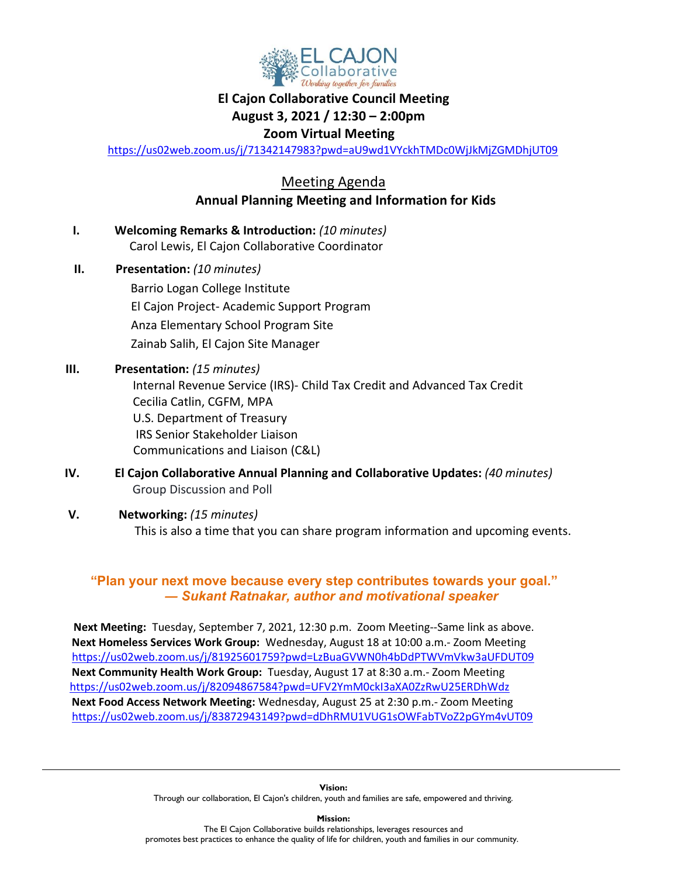

### **El Cajon Collaborative Council Meeting**

### **August 3, 2021 / 12:30 – 2:00pm**

### **Zoom Virtual Meeting**

<https://us02web.zoom.us/j/71342147983?pwd=aU9wd1VYckhTMDc0WjJkMjZGMDhjUT09>

Meeting Agenda  **Annual Planning Meeting and Information for Kids**

| Ι.  | <b>Welcoming Remarks &amp; Introduction: (10 minutes)</b><br>Carol Lewis, El Cajon Collaborative Coordinator                                                                                                                                                                           |
|-----|----------------------------------------------------------------------------------------------------------------------------------------------------------------------------------------------------------------------------------------------------------------------------------------|
| Н.  | Presentation: (10 minutes)<br>Barrio Logan College Institute<br>El Cajon Project-Academic Support Program<br>Anza Elementary School Program Site                                                                                                                                       |
| Ш.  | Zainab Salih, El Cajon Site Manager<br>Presentation: (15 minutes)<br>Internal Revenue Service (IRS)- Child Tax Credit and Advanced Tax Credit<br>Cecilia Catlin, CGFM, MPA<br>U.S. Department of Treasury<br><b>IRS Senior Stakeholder Liaison</b><br>Communications and Liaison (C&L) |
| IV. | El Cajon Collaborative Annual Planning and Collaborative Updates: (40 minutes)<br><b>Group Discussion and Poll</b>                                                                                                                                                                     |

#### **V. Networking:** *(15 minutes)*

This is also a time that you can share program information and upcoming events.

### **"Plan your next move because every step contributes towards your goal."** *― Sukant Ratnakar, author and motivational speaker*

 **Next Meeting:** Tuesday, September 7, 2021, 12:30 p.m. Zoom Meeting--Same link as above. **Next Homeless Services Work Group:** Wednesday, August 18 at 10:00 a.m.- Zoom Meeting <https://us02web.zoom.us/j/81925601759?pwd=LzBuaGVWN0h4bDdPTWVmVkw3aUFDUT09> **Next Community Health Work Group:** Tuesday, August 17 at 8:30 a.m.- Zoom Meeting <https://us02web.zoom.us/j/82094867584?pwd=UFV2YmM0ckI3aXA0ZzRwU25ERDhWdz> **Next Food Access Network Meeting:** Wednesday, August 25 at 2:30 p.m.- Zoom Meeting <https://us02web.zoom.us/j/83872943149?pwd=dDhRMU1VUG1sOWFabTVoZ2pGYm4vUT09>

**Mission:** The El Cajon Collaborative builds relationships, leverages resources and promotes best practices to enhance the quality of life for children, youth and families in our community.